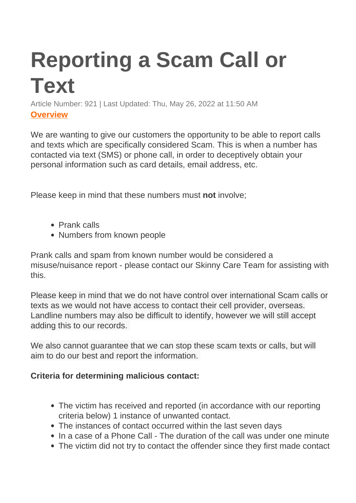## **Reporting a Scam Call or Text**

Article Number: 921 | Last Updated: Thu, May 26, 2022 at 11:50 AM **Overview**

We are wanting to give our customers the opportunity to be able to report calls and texts which are specifically considered Scam. This is when a number has contacted via text (SMS) or phone call, in order to deceptively obtain your personal information such as card details, email address, etc.

Please keep in mind that these numbers must **not** involve;

- Prank calls
- Numbers from known people

Prank calls and spam from known number would be considered a misuse/nuisance report - please contact our Skinny Care Team for assisting with this.

Please keep in mind that we do not have control over international Scam calls or texts as we would not have access to contact their cell provider, overseas. Landline numbers may also be difficult to identify, however we will still accept adding this to our records.

We also cannot guarantee that we can stop these scam texts or calls, but will aim to do our best and report the information.

## **Criteria for determining malicious contact:**

- The victim has received and reported (in accordance with our reporting criteria below) 1 instance of unwanted contact.
- The instances of contact occurred within the last seven days
- In a case of a Phone Call The duration of the call was under one minute
- The victim did not try to contact the offender since they first made contact